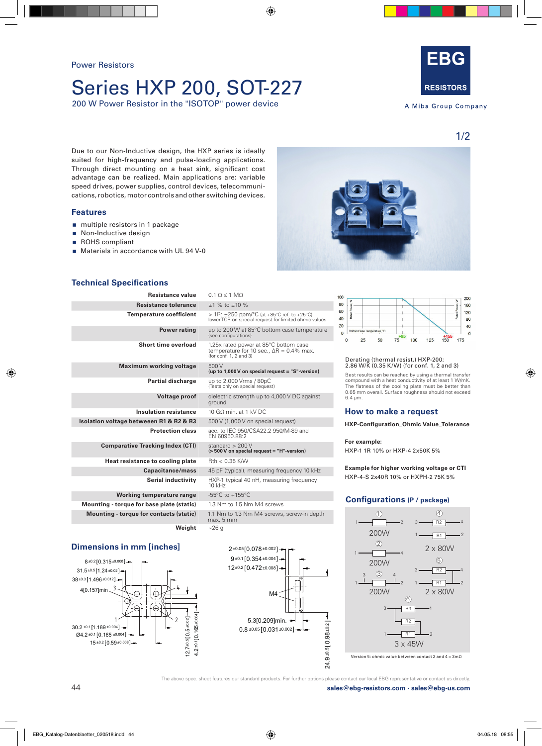# Series HXP 200, SOT-227

200 W Power Resistor in the "ISOTOP" power device



A Miba Group Company

Due to our Non-Inductive design, the HXP series is ideally suited for high-frequency and pulse-loading applications. Through direct mounting on a heat sink, significant cost advantage can be realized. Main applications are: variable speed drives, power supplies, control devices, telecommunications, robotics, motor controls and other switching devices.

## **Features**

- multiple resistors in 1 package
- Non-Inductive design
- ROHS compliant
- **Materials in accordance with UL 94 V-0**



# **Technical Specifications**

| Resistance value                          | $0.1 \Omega \le 1 \text{ MO}$                                                                                           |
|-------------------------------------------|-------------------------------------------------------------------------------------------------------------------------|
| <b>Resistance tolerance</b>               | $+1$ % to $+10$ %                                                                                                       |
| <b>Temperature coefficient</b>            | $> 1R$ : $\pm 250$ ppm/°C (at +85°C ref. to +25°C)<br>lower TCR on special request for limited ohmic values             |
| <b>Power rating</b>                       | up to 200 W at 85°C bottom case temperature<br>(see configurations)                                                     |
| Short time overload                       | 1.25x rated power at 85°C bottom case<br>temperature for 10 sec., $\Delta R = 0.4\%$ max.<br>(for conf. $1.2$ and $3$ ) |
| <b>Maximum working voltage</b>            | 500 V<br>(up to $1,000V$ on special request = "S"-version)                                                              |
| <b>Partial discharge</b>                  | up to 2,000 Vrms / 80pC<br>(Tests only on special request)                                                              |
| <b>Voltage proof</b>                      | dielectric strength up to 4,000 V DC against<br>ground                                                                  |
| <b>Insulation resistance</b>              | 10 GO min. at 1 kV DC                                                                                                   |
| Isolation voltage betweeen R1 & R2 & R3   | 500 V (1,000 V on special request)                                                                                      |
| <b>Protection class</b>                   | acc. to IEC 950/CSA22.2 950/M-89 and<br>EN 60950.88:2                                                                   |
| <b>Comparative Tracking Index (CTI)</b>   | standard $> 200$ V<br>(> 500 V on special request = "H"-version)                                                        |
| Heat resistance to cooling plate          | $Rth < 0.35$ K/W                                                                                                        |
| Capacitance/mass                          | 45 pF (typical), measuring frequency 10 kHz                                                                             |
| Serial inductivity                        | HXP-1 typical 40 nH, measuring frequency<br>$10$ kHz                                                                    |
| Working temperature range                 | $-55^{\circ}$ C to $+155^{\circ}$ C                                                                                     |
| Mounting - torque for base plate (static) | 1.3 Nm to 1.5 Nm M4 screws                                                                                              |
| Mounting - torque for contacts (static)   | 1.1 Nm to 1.3 Nm M4 screws, screw-in depth<br>max. 5 mm                                                                 |
| Weight                                    | ~26q                                                                                                                    |

# **Dimensions in mm [inches]**









# Derating (thermal resist.) HXP-200: 2.86 W/K (0.35 K/W) (for conf. 1, 2 and 3)

Best results can be reached by using a thermal transfer compound with a heat conductivity of at least 1 W/mK. The flatness of the cooling plate must be better than 0.05 mm overall. Surface roughness should not exceed 6.4 μm.

## **How to make a request**

**HXP-Configuration\_Ohmic Value\_Tolerance**

### **For example:**

HXP-1 1R 10% or HXP-4 2x50K 5%

**Example for higher working voltage or CTI** HXP-4-S 2x40R 10% or HXPH-2 75K 5%

# **Configurations (P / package)**



The above spec. sheet features our standard products. For further options please contact our local EBG representative or contact us directly.